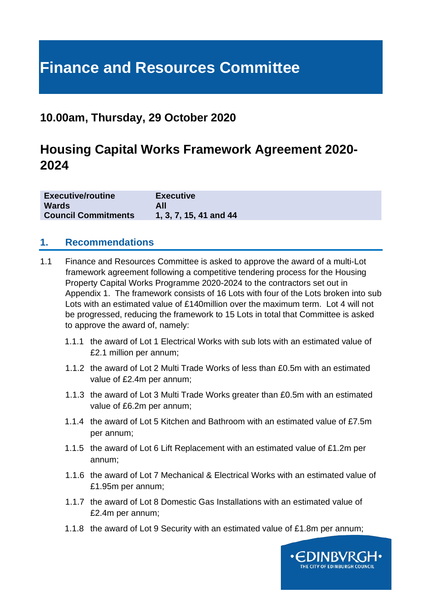# **Finance and Resources Committee**

## **10.00am, Thursday, 29 October 2020**

## **Housing Capital Works Framework Agreement 2020- 2024**

| <b>Executive/routine</b>   | <b>Executive</b>       |
|----------------------------|------------------------|
| <b>Wards</b>               | All                    |
| <b>Council Commitments</b> | 1, 3, 7, 15, 41 and 44 |

#### **1. Recommendations**

- 1.1 Finance and Resources Committee is asked to approve the award of a multi-Lot framework agreement following a competitive tendering process for the Housing Property Capital Works Programme 2020-2024 to the contractors set out in Appendix 1. The framework consists of 16 Lots with four of the Lots broken into sub Lots with an estimated value of £140million over the maximum term. Lot 4 will not be progressed, reducing the framework to 15 Lots in total that Committee is asked to approve the award of, namely:
	- 1.1.1 the award of Lot 1 Electrical Works with sub lots with an estimated value of £2.1 million per annum;
	- 1.1.2 the award of Lot 2 Multi Trade Works of less than £0.5m with an estimated value of £2.4m per annum;
	- 1.1.3 the award of Lot 3 Multi Trade Works greater than £0.5m with an estimated value of £6.2m per annum;
	- 1.1.4 the award of Lot 5 Kitchen and Bathroom with an estimated value of £7.5m per annum;
	- 1.1.5 the award of Lot 6 Lift Replacement with an estimated value of £1.2m per annum;
	- 1.1.6 the award of Lot 7 Mechanical & Electrical Works with an estimated value of £1.95m per annum;
	- 1.1.7 the award of Lot 8 Domestic Gas Installations with an estimated value of £2.4m per annum;
	- 1.1.8 the award of Lot 9 Security with an estimated value of £1.8m per annum;

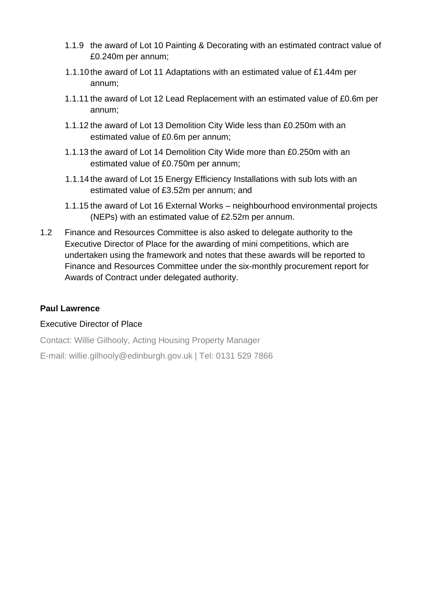- 1.1.9 the award of Lot 10 Painting & Decorating with an estimated contract value of £0.240m per annum;
- 1.1.10 the award of Lot 11 Adaptations with an estimated value of £1.44m per annum;
- 1.1.11 the award of Lot 12 Lead Replacement with an estimated value of £0.6m per annum;
- 1.1.12 the award of Lot 13 Demolition City Wide less than £0.250m with an estimated value of £0.6m per annum;
- 1.1.13 the award of Lot 14 Demolition City Wide more than £0.250m with an estimated value of £0.750m per annum;
- 1.1.14 the award of Lot 15 Energy Efficiency Installations with sub lots with an estimated value of £3.52m per annum; and
- 1.1.15 the award of Lot 16 External Works neighbourhood environmental projects (NEPs) with an estimated value of £2.52m per annum.
- 1.2 Finance and Resources Committee is also asked to delegate authority to the Executive Director of Place for the awarding of mini competitions, which are undertaken using the framework and notes that these awards will be reported to Finance and Resources Committee under the six-monthly procurement report for Awards of Contract under delegated authority.

#### **Paul Lawrence**

#### Executive Director of Place

Contact: Willie Gilhooly, Acting Housing Property Manager

E-mail: willie.gilhooly@edinburgh.gov.uk | Tel: 0131 529 7866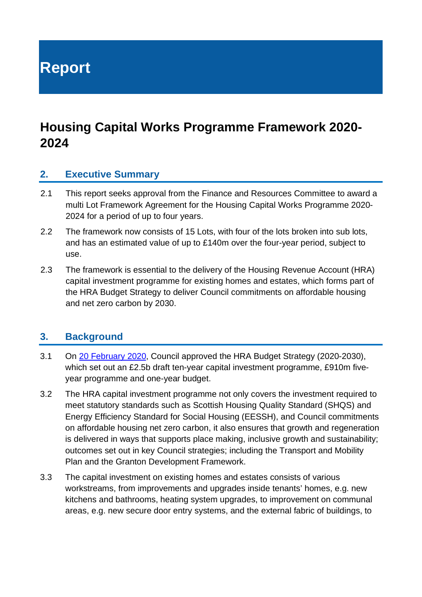**Report**

## **Housing Capital Works Programme Framework 2020- 2024**

#### **2. Executive Summary**

- 2.1 This report seeks approval from the Finance and Resources Committee to award a multi Lot Framework Agreement for the Housing Capital Works Programme 2020- 2024 for a period of up to four years.
- 2.2 The framework now consists of 15 Lots, with four of the lots broken into sub lots, and has an estimated value of up to £140m over the four-year period, subject to use.
- 2.3 The framework is essential to the delivery of the Housing Revenue Account (HRA) capital investment programme for existing homes and estates, which forms part of the HRA Budget Strategy to deliver Council commitments on affordable housing and net zero carbon by 2030.

#### **3. Background**

- 3.1 On [20 February 2020,](https://democracy.edinburgh.gov.uk/ieListDocuments.aspx?CId=150&MId=413&Ver=4) Council approved the HRA Budget Strategy (2020-2030), which set out an £2.5b draft ten-year capital investment programme, £910m fiveyear programme and one-year budget.
- 3.2 The HRA capital investment programme not only covers the investment required to meet statutory standards such as Scottish Housing Quality Standard (SHQS) and Energy Efficiency Standard for Social Housing (EESSH), and Council commitments on affordable housing net zero carbon, it also ensures that growth and regeneration is delivered in ways that supports place making, inclusive growth and sustainability; outcomes set out in key Council strategies; including the Transport and Mobility Plan and the Granton Development Framework.
- 3.3 The capital investment on existing homes and estates consists of various workstreams, from improvements and upgrades inside tenants' homes, e.g. new kitchens and bathrooms, heating system upgrades, to improvement on communal areas, e.g. new secure door entry systems, and the external fabric of buildings, to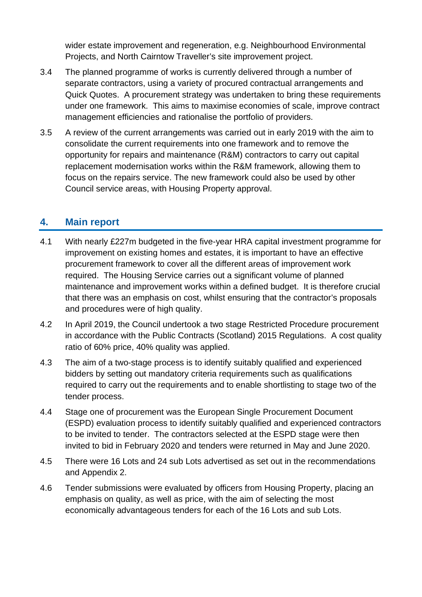wider estate improvement and regeneration, e.g. Neighbourhood Environmental Projects, and North Cairntow Traveller's site improvement project.

- 3.4 The planned programme of works is currently delivered through a number of separate contractors, using a variety of procured contractual arrangements and Quick Quotes. A procurement strategy was undertaken to bring these requirements under one framework. This aims to maximise economies of scale, improve contract management efficiencies and rationalise the portfolio of providers.
- 3.5 A review of the current arrangements was carried out in early 2019 with the aim to consolidate the current requirements into one framework and to remove the opportunity for repairs and maintenance (R&M) contractors to carry out capital replacement modernisation works within the R&M framework, allowing them to focus on the repairs service. The new framework could also be used by other Council service areas, with Housing Property approval.

## **4. Main report**

- 4.1 With nearly £227m budgeted in the five-year HRA capital investment programme for improvement on existing homes and estates, it is important to have an effective procurement framework to cover all the different areas of improvement work required. The Housing Service carries out a significant volume of planned maintenance and improvement works within a defined budget. It is therefore crucial that there was an emphasis on cost, whilst ensuring that the contractor's proposals and procedures were of high quality.
- 4.2 In April 2019, the Council undertook a two stage Restricted Procedure procurement in accordance with the Public Contracts (Scotland) 2015 Regulations. A cost quality ratio of 60% price, 40% quality was applied.
- 4.3 The aim of a two-stage process is to identify suitably qualified and experienced bidders by setting out mandatory criteria requirements such as qualifications required to carry out the requirements and to enable shortlisting to stage two of the tender process.
- 4.4 Stage one of procurement was the European Single Procurement Document (ESPD) evaluation process to identify suitably qualified and experienced contractors to be invited to tender. The contractors selected at the ESPD stage were then invited to bid in February 2020 and tenders were returned in May and June 2020.
- 4.5 There were 16 Lots and 24 sub Lots advertised as set out in the recommendations and Appendix 2.
- 4.6 Tender submissions were evaluated by officers from Housing Property, placing an emphasis on quality, as well as price, with the aim of selecting the most economically advantageous tenders for each of the 16 Lots and sub Lots.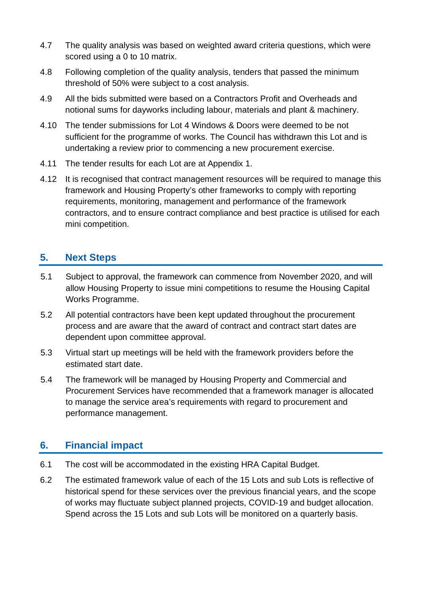- 4.7 The quality analysis was based on weighted award criteria questions, which were scored using a 0 to 10 matrix.
- 4.8 Following completion of the quality analysis, tenders that passed the minimum threshold of 50% were subject to a cost analysis.
- 4.9 All the bids submitted were based on a Contractors Profit and Overheads and notional sums for dayworks including labour, materials and plant & machinery.
- 4.10 The tender submissions for Lot 4 Windows & Doors were deemed to be not sufficient for the programme of works. The Council has withdrawn this Lot and is undertaking a review prior to commencing a new procurement exercise.
- 4.11 The tender results for each Lot are at Appendix 1.
- 4.12 It is recognised that contract management resources will be required to manage this framework and Housing Property's other frameworks to comply with reporting requirements, monitoring, management and performance of the framework contractors, and to ensure contract compliance and best practice is utilised for each mini competition.

## **5. Next Steps**

- 5.1 Subject to approval, the framework can commence from November 2020, and will allow Housing Property to issue mini competitions to resume the Housing Capital Works Programme.
- 5.2 All potential contractors have been kept updated throughout the procurement process and are aware that the award of contract and contract start dates are dependent upon committee approval.
- 5.3 Virtual start up meetings will be held with the framework providers before the estimated start date.
- 5.4 The framework will be managed by Housing Property and Commercial and Procurement Services have recommended that a framework manager is allocated to manage the service area's requirements with regard to procurement and performance management.

#### **6. Financial impact**

- 6.1 The cost will be accommodated in the existing HRA Capital Budget.
- 6.2 The estimated framework value of each of the 15 Lots and sub Lots is reflective of historical spend for these services over the previous financial years, and the scope of works may fluctuate subject planned projects, COVID-19 and budget allocation. Spend across the 15 Lots and sub Lots will be monitored on a quarterly basis.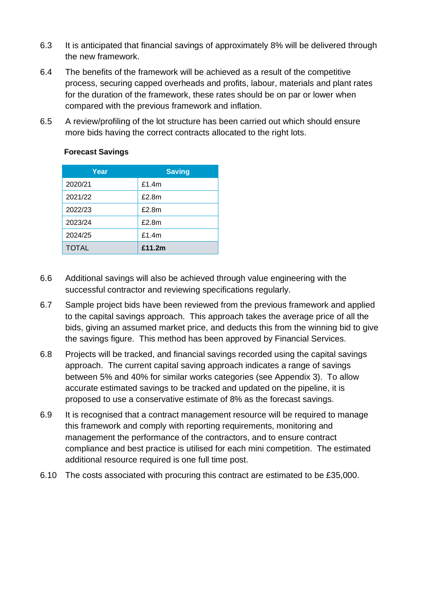- 6.3 It is anticipated that financial savings of approximately 8% will be delivered through the new framework.
- 6.4 The benefits of the framework will be achieved as a result of the competitive process, securing capped overheads and profits, labour, materials and plant rates for the duration of the framework, these rates should be on par or lower when compared with the previous framework and inflation.
- 6.5 A review/profiling of the lot structure has been carried out which should ensure more bids having the correct contracts allocated to the right lots.

| Year         | <b>Saving</b> |
|--------------|---------------|
| 2020/21      | £1.4 $m$      |
| 2021/22      | £2.8m         |
| 2022/23      | £2.8m         |
| 2023/24      | £2.8m         |
| 2024/25      | £1.4 $m$      |
| <b>TOTAL</b> | £11.2m        |

#### **Forecast Savings**

- 6.6 Additional savings will also be achieved through value engineering with the successful contractor and reviewing specifications regularly.
- 6.7 Sample project bids have been reviewed from the previous framework and applied to the capital savings approach. This approach takes the average price of all the bids, giving an assumed market price, and deducts this from the winning bid to give the savings figure. This method has been approved by Financial Services.
- 6.8 Projects will be tracked, and financial savings recorded using the capital savings approach. The current capital saving approach indicates a range of savings between 5% and 40% for similar works categories (see Appendix 3). To allow accurate estimated savings to be tracked and updated on the pipeline, it is proposed to use a conservative estimate of 8% as the forecast savings.
- 6.9 It is recognised that a contract management resource will be required to manage this framework and comply with reporting requirements, monitoring and management the performance of the contractors, and to ensure contract compliance and best practice is utilised for each mini competition. The estimated additional resource required is one full time post.
- 6.10 The costs associated with procuring this contract are estimated to be £35,000.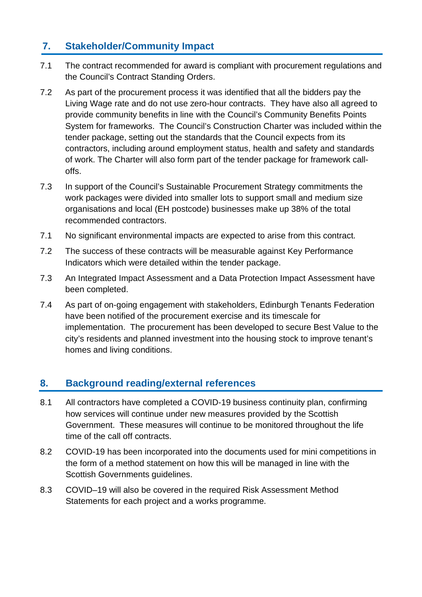## **7. Stakeholder/Community Impact**

- 7.1 The contract recommended for award is compliant with procurement regulations and the Council's Contract Standing Orders.
- 7.2 As part of the procurement process it was identified that all the bidders pay the Living Wage rate and do not use zero-hour contracts. They have also all agreed to provide community benefits in line with the Council's Community Benefits Points System for frameworks. The Council's Construction Charter was included within the tender package, setting out the standards that the Council expects from its contractors, including around employment status, health and safety and standards of work. The Charter will also form part of the tender package for framework calloffs.
- 7.3 In support of the Council's Sustainable Procurement Strategy commitments the work packages were divided into smaller lots to support small and medium size organisations and local (EH postcode) businesses make up 38% of the total recommended contractors.
- 7.1 No significant environmental impacts are expected to arise from this contract.
- 7.2 The success of these contracts will be measurable against Key Performance Indicators which were detailed within the tender package.
- 7.3 An Integrated Impact Assessment and a Data Protection Impact Assessment have been completed.
- 7.4 As part of on-going engagement with stakeholders, Edinburgh Tenants Federation have been notified of the procurement exercise and its timescale for implementation. The procurement has been developed to secure Best Value to the city's residents and planned investment into the housing stock to improve tenant's homes and living conditions.

#### **8. Background reading/external references**

- 8.1 All contractors have completed a COVID-19 business continuity plan, confirming how services will continue under new measures provided by the Scottish Government. These measures will continue to be monitored throughout the life time of the call off contracts.
- 8.2 COVID-19 has been incorporated into the documents used for mini competitions in the form of a method statement on how this will be managed in line with the Scottish Governments guidelines.
- 8.3 COVID–19 will also be covered in the required Risk Assessment Method Statements for each project and a works programme.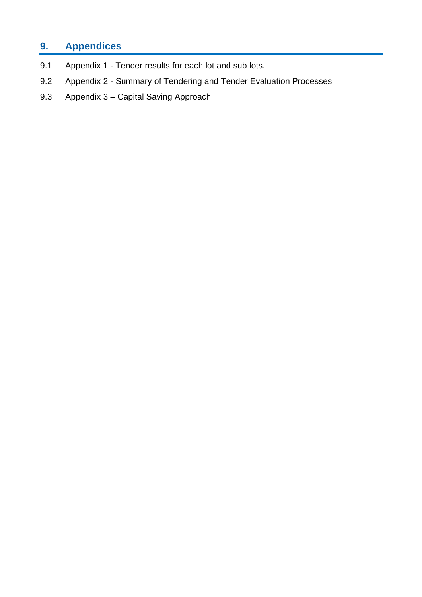## **9. Appendices**

- 9.1 Appendix 1 Tender results for each lot and sub lots.
- 9.2 Appendix 2 Summary of Tendering and Tender Evaluation Processes
- 9.3 Appendix 3 Capital Saving Approach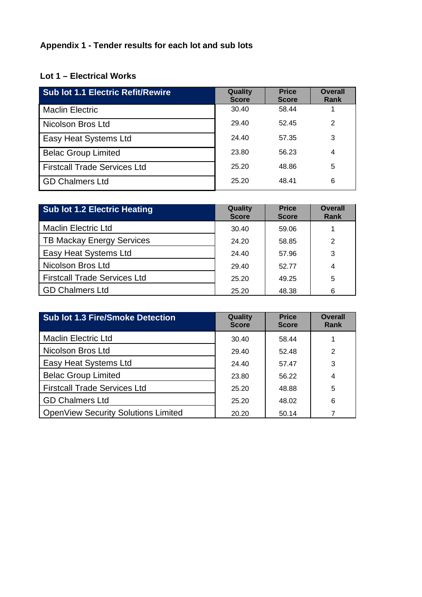## **Appendix 1 - Tender results for each lot and sub lots**

## **Lot 1 – Electrical Works**

| <b>Sub lot 1.1 Electric Refit/Rewire</b> | Quality<br><b>Score</b> | <b>Price</b><br><b>Score</b> | <b>Overall</b><br>Rank |
|------------------------------------------|-------------------------|------------------------------|------------------------|
| <b>Maclin Electric</b>                   | 30.40                   | 58.44                        |                        |
| Nicolson Bros Ltd                        | 29.40                   | 52.45                        | 2                      |
| Easy Heat Systems Ltd                    | 24.40                   | 57.35                        | 3                      |
| <b>Belac Group Limited</b>               | 23.80                   | 56.23                        | 4                      |
| <b>Firstcall Trade Services Ltd</b>      | 25.20                   | 48.86                        | 5                      |
| <b>GD Chalmers Ltd</b>                   | 25.20                   | 48.41                        | 6                      |

| <b>Sub lot 1.2 Electric Heating</b> | Quality<br><b>Score</b> | <b>Price</b><br><b>Score</b> | <b>Overall</b><br><b>Rank</b> |
|-------------------------------------|-------------------------|------------------------------|-------------------------------|
| <b>Maclin Electric Ltd</b>          | 30.40                   | 59.06                        |                               |
| <b>TB Mackay Energy Services</b>    | 24.20                   | 58.85                        | 2                             |
| Easy Heat Systems Ltd               | 24.40                   | 57.96                        | 3                             |
| Nicolson Bros Ltd                   | 29.40                   | 52.77                        | 4                             |
| <b>Firstcall Trade Services Ltd</b> | 25.20                   | 49.25                        | 5                             |
| <b>GD Chalmers Ltd</b>              | 25.20                   | 48.38                        | 6                             |

| <b>Sub lot 1.3 Fire/Smoke Detection</b>    | Quality<br><b>Score</b> | <b>Price</b><br><b>Score</b> | <b>Overall</b><br>Rank |
|--------------------------------------------|-------------------------|------------------------------|------------------------|
| <b>Maclin Electric Ltd</b>                 | 30.40                   | 58.44                        |                        |
| Nicolson Bros Ltd                          | 29.40                   | 52.48                        | 2                      |
| Easy Heat Systems Ltd                      | 24.40                   | 57.47                        | 3                      |
| <b>Belac Group Limited</b>                 | 23.80                   | 56.22                        | 4                      |
| <b>Firstcall Trade Services Ltd</b>        | 25.20                   | 48.88                        | 5                      |
| <b>GD Chalmers Ltd</b>                     | 25.20                   | 48.02                        | 6                      |
| <b>OpenView Security Solutions Limited</b> | 20.20                   | 50.14                        |                        |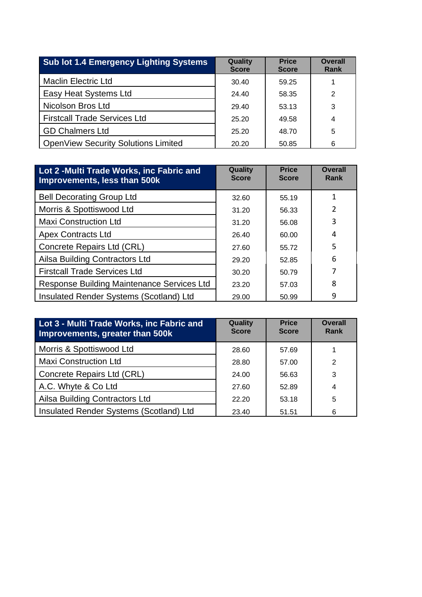| <b>Sub lot 1.4 Emergency Lighting Systems</b> | Quality<br><b>Score</b> | <b>Price</b><br><b>Score</b> | <b>Overall</b><br>Rank |
|-----------------------------------------------|-------------------------|------------------------------|------------------------|
| <b>Maclin Electric Ltd</b>                    | 30.40                   | 59.25                        |                        |
| Easy Heat Systems Ltd                         | 24.40                   | 58.35                        | 2                      |
| Nicolson Bros Ltd                             | 29.40                   | 53.13                        | 3                      |
| <b>Firstcall Trade Services Ltd</b>           | 25.20                   | 49.58                        | 4                      |
| <b>GD Chalmers Ltd</b>                        | 25.20                   | 48.70                        | 5                      |
| <b>OpenView Security Solutions Limited</b>    | 20.20                   | 50.85                        | 6                      |

| Lot 2 - Multi Trade Works, inc Fabric and<br>Improvements, less than 500k | Quality<br><b>Score</b> | <b>Price</b><br><b>Score</b> | <b>Overall</b><br>Rank |
|---------------------------------------------------------------------------|-------------------------|------------------------------|------------------------|
| <b>Bell Decorating Group Ltd</b>                                          | 32.60                   | 55.19                        | 1                      |
| Morris & Spottiswood Ltd                                                  | 31.20                   | 56.33                        | C.                     |
| <b>Maxi Construction Ltd</b>                                              | 31.20                   | 56.08                        | 3                      |
| <b>Apex Contracts Ltd</b>                                                 | 26.40                   | 60.00                        | 4                      |
| Concrete Repairs Ltd (CRL)                                                | 27.60                   | 55.72                        | 5                      |
| Ailsa Building Contractors Ltd                                            | 29.20                   | 52.85                        | 6                      |
| <b>Firstcall Trade Services Ltd</b>                                       | 30.20                   | 50.79                        | 7                      |
| Response Building Maintenance Services Ltd                                | 23.20                   | 57.03                        | 8                      |
| Insulated Render Systems (Scotland) Ltd                                   | 29.00                   | 50.99                        | 9                      |

| Lot 3 - Multi Trade Works, inc Fabric and<br>Improvements, greater than 500k | Quality<br><b>Score</b> | <b>Price</b><br><b>Score</b> | <b>Overall</b><br>Rank |
|------------------------------------------------------------------------------|-------------------------|------------------------------|------------------------|
| Morris & Spottiswood Ltd                                                     | 28.60                   | 57.69                        |                        |
| <b>Maxi Construction Ltd</b>                                                 | 28.80                   | 57.00                        | 2                      |
| Concrete Repairs Ltd (CRL)                                                   | 24.00                   | 56.63                        | 3                      |
| A.C. Whyte & Co Ltd                                                          | 27.60                   | 52.89                        | 4                      |
| Ailsa Building Contractors Ltd                                               | 22.20                   | 53.18                        | 5                      |
| Insulated Render Systems (Scotland) Ltd                                      | 23.40                   | 51.51                        | 6                      |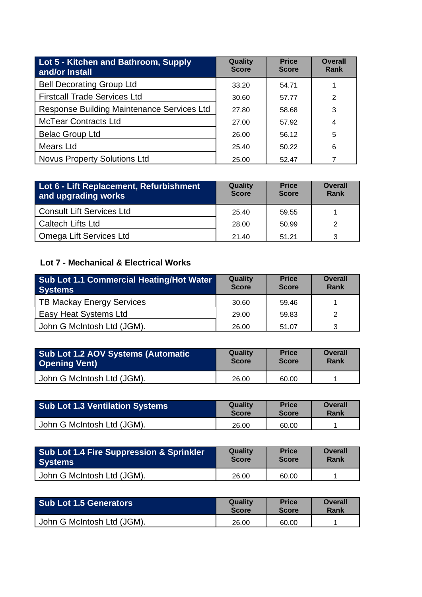| Lot 5 - Kitchen and Bathroom, Supply<br>and/or Install | Quality<br><b>Score</b> | <b>Price</b><br><b>Score</b> | <b>Overall</b><br>Rank |
|--------------------------------------------------------|-------------------------|------------------------------|------------------------|
| <b>Bell Decorating Group Ltd</b>                       | 33.20                   | 54.71                        |                        |
| <b>Firstcall Trade Services Ltd</b>                    | 30.60                   | 57.77                        | 2                      |
| Response Building Maintenance Services Ltd             | 27.80                   | 58.68                        | 3                      |
| <b>McTear Contracts Ltd</b>                            | 27.00                   | 57.92                        | 4                      |
| <b>Belac Group Ltd</b>                                 | 26.00                   | 56.12                        | 5                      |
| Mears Ltd                                              | 25.40                   | 50.22                        | 6                      |
| <b>Novus Property Solutions Ltd</b>                    | 25.00                   | 52.47                        |                        |

| Lot 6 - Lift Replacement, Refurbishment<br>and upgrading works | Quality<br><b>Score</b> | <b>Price</b><br><b>Score</b> | <b>Overall</b><br>Rank |
|----------------------------------------------------------------|-------------------------|------------------------------|------------------------|
| <b>Consult Lift Services Ltd</b>                               | 25.40                   | 59.55                        |                        |
| <b>Caltech Lifts Ltd</b>                                       | 28.00                   | 50.99                        | $\mathcal{P}$          |
| Omega Lift Services Ltd                                        | 21.40                   | 51.21                        | 3                      |

## **Lot 7 - Mechanical & Electrical Works**

| Sub Lot 1.1 Commercial Heating/Hot Water<br><b>Systems</b> | Quality<br><b>Score</b> | <b>Price</b><br><b>Score</b> | <b>Overall</b><br>Rank |
|------------------------------------------------------------|-------------------------|------------------------------|------------------------|
| TB Mackay Energy Services                                  | 30.60                   | 59.46                        |                        |
| Easy Heat Systems Ltd                                      | 29.00                   | 59.83                        |                        |
| John G McIntosh Ltd (JGM).                                 | 26.00                   | 51.07                        |                        |

| <b>Sub Lot 1.2 AOV Systems (Automatic</b> | <b>Quality</b> | <b>Price</b> | <b>Overall</b> |
|-------------------------------------------|----------------|--------------|----------------|
| <b>Opening Vent)</b>                      | <b>Score</b>   | <b>Score</b> | Rank           |
| John G McIntosh Ltd (JGM).                | 26.00          | 60.00        |                |

| <b>Sub Lot 1.3 Ventilation Systems</b> | Quality      | <b>Price</b> | <b>Overall</b> |
|----------------------------------------|--------------|--------------|----------------|
|                                        | <b>Score</b> | <b>Score</b> | Rank           |
| John G McIntosh Ltd (JGM).             | 26.00        | 60.00        |                |

| <b>Sub Lot 1.4 Fire Suppression &amp; Sprinkler</b> | <b>Quality</b> | <b>Price</b> | <b>Overall</b> |
|-----------------------------------------------------|----------------|--------------|----------------|
| <b>Systems</b>                                      | <b>Score</b>   | <b>Score</b> | Rank           |
| John G McIntosh Ltd (JGM).                          | 26.00          | 60.00        |                |

| <b>Sub Lot 1.5 Generators</b> | Quality      | <b>Price</b> | Overall |
|-------------------------------|--------------|--------------|---------|
|                               | <b>Score</b> | <b>Score</b> | Rank    |
| John G McIntosh Ltd (JGM).    | 26.00        | 60.00        |         |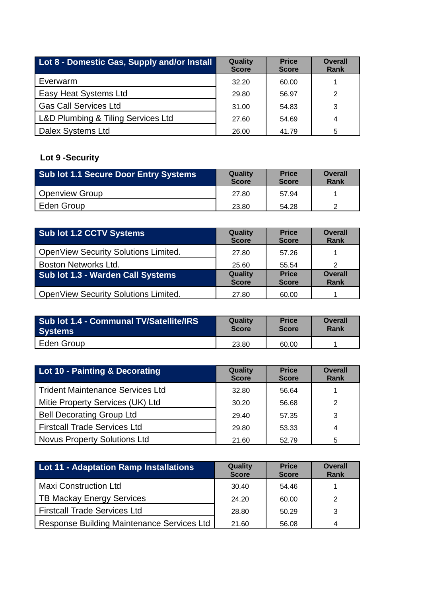| Lot 8 - Domestic Gas, Supply and/or Install | Quality<br><b>Score</b> | <b>Price</b><br><b>Score</b> | <b>Overall</b><br>Rank |
|---------------------------------------------|-------------------------|------------------------------|------------------------|
| Everwarm                                    | 32.20                   | 60.00                        |                        |
| Easy Heat Systems Ltd                       | 29.80                   | 56.97                        | 2                      |
| <b>Gas Call Services Ltd</b>                | 31.00                   | 54.83                        | 3                      |
| L&D Plumbing & Tiling Services Ltd          | 27.60                   | 54.69                        | 4                      |
| Dalex Systems Ltd                           | 26.00                   | 41.79                        | 5                      |

## **Lot 9 -Security**

| <b>Sub lot 1.1 Secure Door Entry Systems</b> | <b>Quality</b><br><b>Score</b> | <b>Price</b><br><b>Score</b> | <b>Overall</b><br>Rank |
|----------------------------------------------|--------------------------------|------------------------------|------------------------|
| <b>Openview Group</b>                        | 27.80                          | 57.94                        |                        |
| Eden Group                                   | 23.80                          | 54.28                        |                        |

| Sub lot 1.2 CCTV Systems                 | Quality<br><b>Score</b> | <b>Price</b><br><b>Score</b> | <b>Overall</b><br>Rank |
|------------------------------------------|-------------------------|------------------------------|------------------------|
| OpenView Security Solutions Limited.     | 27.80                   | 57.26                        |                        |
| Boston Networks Ltd.                     | 25.60                   | 55.54                        | 2                      |
| <b>Sub lot 1.3 - Warden Call Systems</b> | Quality<br><b>Score</b> | <b>Price</b><br><b>Score</b> | <b>Overall</b><br>Rank |
| OpenView Security Solutions Limited.     | 27.80                   | 60.00                        |                        |

| <b>Sub lot 1.4 - Communal TV/Satellite/IRS</b> | Quality      | <b>Price</b> | Overall |
|------------------------------------------------|--------------|--------------|---------|
| <b>Systems</b>                                 | <b>Score</b> | <b>Score</b> | Rank    |
| Eden Group                                     | 23.80        | 60.00        |         |

| Lot 10 - Painting & Decorating          | Quality<br><b>Score</b> | <b>Price</b><br><b>Score</b> | <b>Overall</b><br>Rank |
|-----------------------------------------|-------------------------|------------------------------|------------------------|
| <b>Trident Maintenance Services Ltd</b> | 32.80                   | 56.64                        |                        |
| Mitie Property Services (UK) Ltd        | 30.20                   | 56.68                        | 2                      |
| <b>Bell Decorating Group Ltd</b>        | 29.40                   | 57.35                        | 3                      |
| <b>Firstcall Trade Services Ltd</b>     | 29.80                   | 53.33                        | 4                      |
| <b>Novus Property Solutions Ltd</b>     | 21.60                   | 52.79                        | 5                      |

| <b>Lot 11 - Adaptation Ramp Installations</b> | <b>Quality</b><br><b>Score</b> | <b>Price</b><br><b>Score</b> | <b>Overall</b><br>Rank |
|-----------------------------------------------|--------------------------------|------------------------------|------------------------|
| <b>Maxi Construction Ltd</b>                  | 30.40                          | 54.46                        |                        |
| <b>TB Mackay Energy Services</b>              | 24.20                          | 60.00                        | 2                      |
| <b>Firstcall Trade Services Ltd</b>           | 28.80                          | 50.29                        | 3                      |
| Response Building Maintenance Services Ltd    | 21.60                          | 56.08                        |                        |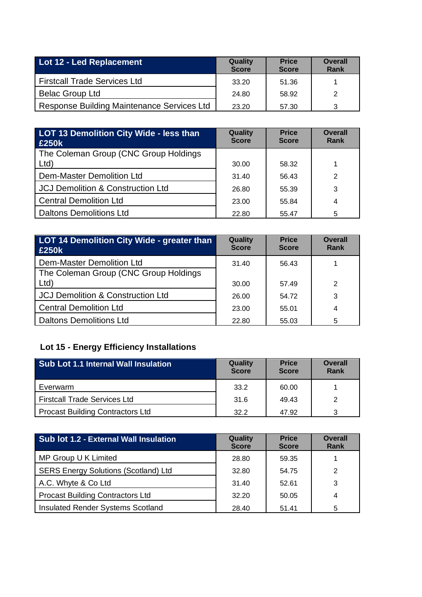| Lot 12 - Led Replacement                   | <b>Quality</b><br><b>Score</b> | <b>Price</b><br><b>Score</b> | <b>Overall</b><br>Rank |
|--------------------------------------------|--------------------------------|------------------------------|------------------------|
| <b>Firstcall Trade Services Ltd</b>        | 33.20                          | 51.36                        |                        |
| <b>Belac Group Ltd</b>                     | 24.80                          | 58.92                        | 2                      |
| Response Building Maintenance Services Ltd | 23.20                          | 57.30                        | 3                      |

| LOT 13 Demolition City Wide - less than<br>£250k | Quality<br><b>Score</b> | <b>Price</b><br><b>Score</b> | <b>Overall</b><br>Rank |
|--------------------------------------------------|-------------------------|------------------------------|------------------------|
| The Coleman Group (CNC Group Holdings            |                         |                              |                        |
| Ltd                                              | 30.00                   | 58.32                        |                        |
| Dem-Master Demolition Ltd                        | 31.40                   | 56.43                        | 2                      |
| <b>JCJ Demolition &amp; Construction Ltd</b>     | 26.80                   | 55.39                        | 3                      |
| <b>Central Demolition Ltd</b>                    | 23.00                   | 55.84                        | 4                      |
| <b>Daltons Demolitions Ltd</b>                   | 22.80                   | 55.47                        | 5                      |

| <b>LOT 14 Demolition City Wide - greater than</b><br>£250k | Quality<br><b>Score</b> | <b>Price</b><br><b>Score</b> | <b>Overall</b><br>Rank |
|------------------------------------------------------------|-------------------------|------------------------------|------------------------|
| Dem-Master Demolition Ltd                                  | 31.40                   | 56.43                        |                        |
| The Coleman Group (CNC Group Holdings                      |                         |                              |                        |
| Ltd                                                        | 30.00                   | 57.49                        | 2                      |
| <b>JCJ Demolition &amp; Construction Ltd</b>               | 26.00                   | 54.72                        | 3                      |
| <b>Central Demolition Ltd</b>                              | 23.00                   | 55.01                        | 4                      |
| <b>Daltons Demolitions Ltd</b>                             | 22.80                   | 55.03                        | 5                      |

## **Lot 15 - Energy Efficiency Installations**

| <b>Sub Lot 1.1 Internal Wall Insulation</b> | Quality<br><b>Score</b> | <b>Price</b><br><b>Score</b> | <b>Overall</b><br>Rank |
|---------------------------------------------|-------------------------|------------------------------|------------------------|
| Everwarm                                    | 33.2                    | 60.00                        |                        |
| <b>Firstcall Trade Services Ltd</b>         | 31.6                    | 49.43                        | 2                      |
| <b>Procast Building Contractors Ltd</b>     | 32.2                    | 47.92                        | 3                      |

| <b>Sub lot 1.2 - External Wall Insulation</b> | Quality<br><b>Score</b> | <b>Price</b><br><b>Score</b> | <b>Overall</b><br>Rank |
|-----------------------------------------------|-------------------------|------------------------------|------------------------|
| MP Group U K Limited                          | 28.80                   | 59.35                        |                        |
| <b>SERS Energy Solutions (Scotland) Ltd</b>   | 32.80                   | 54.75                        | 2                      |
| A.C. Whyte & Co Ltd                           | 31.40                   | 52.61                        | 3                      |
| <b>Procast Building Contractors Ltd</b>       | 32.20                   | 50.05                        | 4                      |
| Insulated Render Systems Scotland             | 28.40                   | 51.41                        | 5                      |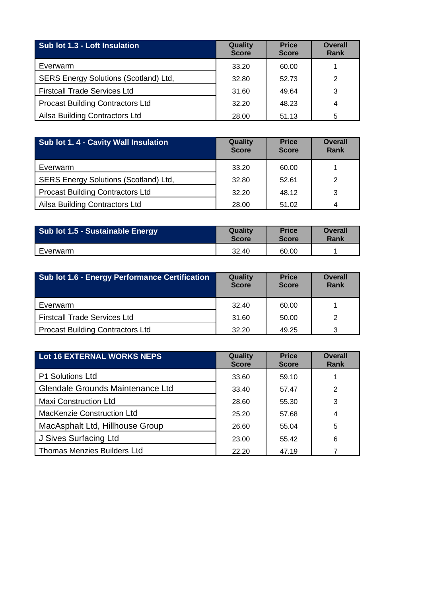| Sub lot 1.3 - Loft Insulation           | Quality<br><b>Score</b> | <b>Price</b><br><b>Score</b> | <b>Overall</b><br>Rank |
|-----------------------------------------|-------------------------|------------------------------|------------------------|
| Everwarm                                | 33.20                   | 60.00                        |                        |
| SERS Energy Solutions (Scotland) Ltd,   | 32.80                   | 52.73                        | 2                      |
| <b>Firstcall Trade Services Ltd</b>     | 31.60                   | 49.64                        | 3                      |
| <b>Procast Building Contractors Ltd</b> | 32.20                   | 48.23                        | 4                      |
| Ailsa Building Contractors Ltd          | 28.00                   | 51.13                        | 5                      |

| Sub lot 1.4 - Cavity Wall Insulation    | Quality<br><b>Score</b> | <b>Price</b><br><b>Score</b> | <b>Overall</b><br>Rank |
|-----------------------------------------|-------------------------|------------------------------|------------------------|
| Everwarm                                | 33.20                   | 60.00                        |                        |
| SERS Energy Solutions (Scotland) Ltd,   | 32.80                   | 52.61                        | 2                      |
| <b>Procast Building Contractors Ltd</b> | 32.20                   | 48.12                        | 3                      |
| Ailsa Building Contractors Ltd          | 28.00                   | 51.02                        |                        |

| Sub lot 1.5 - Sustainable Energy | Quality<br><b>Price</b><br><b>Score</b><br><b>Score</b> |       | Overall<br>Rank |
|----------------------------------|---------------------------------------------------------|-------|-----------------|
| Everwarm                         | 32.40                                                   | 60.00 |                 |

| <b>Sub lot 1.6 - Energy Performance Certification</b> | Quality<br><b>Score</b> | <b>Price</b><br><b>Score</b> | <b>Overall</b><br>Rank |
|-------------------------------------------------------|-------------------------|------------------------------|------------------------|
| Everwarm                                              | 32.40                   | 60.00                        |                        |
| <b>Firstcall Trade Services Ltd</b>                   | 31.60                   | 50.00                        |                        |
| <b>Procast Building Contractors Ltd</b>               | 32.20                   | 49.25                        | 3                      |

| <b>Lot 16 EXTERNAL WORKS NEPS</b>       | Quality<br><b>Score</b> | <b>Price</b><br><b>Score</b> | <b>Overall</b><br><b>Rank</b> |
|-----------------------------------------|-------------------------|------------------------------|-------------------------------|
| <b>P1 Solutions Ltd</b>                 | 33.60                   | 59.10                        |                               |
| <b>Glendale Grounds Maintenance Ltd</b> | 33.40                   | 57.47                        | 2                             |
| <b>Maxi Construction Ltd</b>            | 28.60                   | 55.30                        | 3                             |
| <b>MacKenzie Construction Ltd</b>       | 25.20                   | 57.68                        | 4                             |
| MacAsphalt Ltd, Hillhouse Group         | 26.60                   | 55.04                        | 5                             |
| J Sives Surfacing Ltd                   | 23.00                   | 55.42                        | 6                             |
| <b>Thomas Menzies Builders Ltd</b>      | 22.20                   | 47.19                        |                               |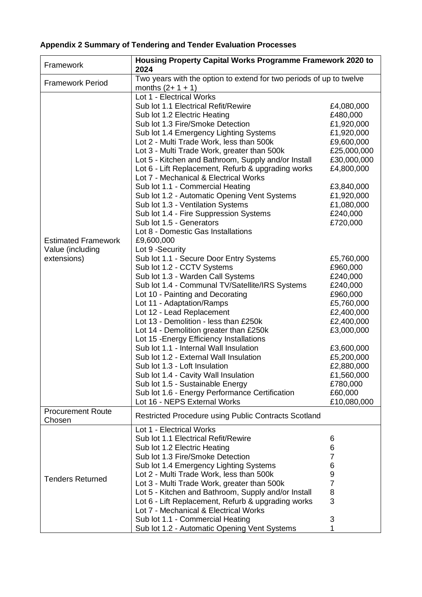## **Appendix 2 Summary of Tendering and Tender Evaluation Processes**

| Framework                                                     | Housing Property Capital Works Programme Framework 2020 to<br>2024                                                                                                                                                                                                                                                                                                                                                                                                                                                                                                                                                                                                                                                                                                                                                                                                                                                                                                                                                                                                                                                                                                                                                                                                                                                                                                                    |                                                                                                                                                                                                                                                                                                                                                                                                    |
|---------------------------------------------------------------|---------------------------------------------------------------------------------------------------------------------------------------------------------------------------------------------------------------------------------------------------------------------------------------------------------------------------------------------------------------------------------------------------------------------------------------------------------------------------------------------------------------------------------------------------------------------------------------------------------------------------------------------------------------------------------------------------------------------------------------------------------------------------------------------------------------------------------------------------------------------------------------------------------------------------------------------------------------------------------------------------------------------------------------------------------------------------------------------------------------------------------------------------------------------------------------------------------------------------------------------------------------------------------------------------------------------------------------------------------------------------------------|----------------------------------------------------------------------------------------------------------------------------------------------------------------------------------------------------------------------------------------------------------------------------------------------------------------------------------------------------------------------------------------------------|
| <b>Framework Period</b>                                       | Two years with the option to extend for two periods of up to twelve<br>months $(2 + 1 + 1)$                                                                                                                                                                                                                                                                                                                                                                                                                                                                                                                                                                                                                                                                                                                                                                                                                                                                                                                                                                                                                                                                                                                                                                                                                                                                                           |                                                                                                                                                                                                                                                                                                                                                                                                    |
| <b>Estimated Framework</b><br>Value (including<br>extensions) | Lot 1 - Electrical Works<br>Sub lot 1.1 Electrical Refit/Rewire<br>Sub lot 1.2 Electric Heating<br>Sub lot 1.3 Fire/Smoke Detection<br>Sub lot 1.4 Emergency Lighting Systems<br>Lot 2 - Multi Trade Work, less than 500k<br>Lot 3 - Multi Trade Work, greater than 500k<br>Lot 5 - Kitchen and Bathroom, Supply and/or Install<br>Lot 6 - Lift Replacement, Refurb & upgrading works<br>Lot 7 - Mechanical & Electrical Works<br>Sub lot 1.1 - Commercial Heating<br>Sub lot 1.2 - Automatic Opening Vent Systems<br>Sub lot 1.3 - Ventilation Systems<br>Sub lot 1.4 - Fire Suppression Systems<br>Sub lot 1.5 - Generators<br>Lot 8 - Domestic Gas Installations<br>£9,600,000<br>Lot 9 -Security<br>Sub lot 1.1 - Secure Door Entry Systems<br>Sub lot 1.2 - CCTV Systems<br>Sub lot 1.3 - Warden Call Systems<br>Sub lot 1.4 - Communal TV/Satellite/IRS Systems<br>Lot 10 - Painting and Decorating<br>Lot 11 - Adaptation/Ramps<br>Lot 12 - Lead Replacement<br>Lot 13 - Demolition - less than £250k<br>Lot 14 - Demolition greater than £250k<br>Lot 15 - Energy Efficiency Installations<br>Sub lot 1.1 - Internal Wall Insulation<br>Sub lot 1.2 - External Wall Insulation<br>Sub lot 1.3 - Loft Insulation<br>Sub lot 1.4 - Cavity Wall Insulation<br>Sub lot 1.5 - Sustainable Energy<br>Sub lot 1.6 - Energy Performance Certification<br>Lot 16 - NEPS External Works | £4,080,000<br>£480,000<br>£1,920,000<br>£1,920,000<br>£9,600,000<br>£25,000,000<br>£30,000,000<br>£4,800,000<br>£3,840,000<br>£1,920,000<br>£1,080,000<br>£240,000<br>£720,000<br>£5,760,000<br>£960,000<br>£240,000<br>£240,000<br>£960,000<br>£5,760,000<br>£2,400,000<br>£2,400,000<br>£3,000,000<br>£3,600,000<br>£5,200,000<br>£2,880,000<br>£1,560,000<br>£780,000<br>£60,000<br>£10,080,000 |
| <b>Procurement Route</b><br>Chosen                            | <b>Restricted Procedure using Public Contracts Scotland</b>                                                                                                                                                                                                                                                                                                                                                                                                                                                                                                                                                                                                                                                                                                                                                                                                                                                                                                                                                                                                                                                                                                                                                                                                                                                                                                                           |                                                                                                                                                                                                                                                                                                                                                                                                    |
| <b>Tenders Returned</b>                                       | Lot 1 - Electrical Works<br>Sub lot 1.1 Electrical Refit/Rewire<br>Sub lot 1.2 Electric Heating<br>Sub lot 1.3 Fire/Smoke Detection<br>Sub lot 1.4 Emergency Lighting Systems<br>Lot 2 - Multi Trade Work, less than 500k<br>Lot 3 - Multi Trade Work, greater than 500k<br>Lot 5 - Kitchen and Bathroom, Supply and/or Install<br>Lot 6 - Lift Replacement, Refurb & upgrading works<br>Lot 7 - Mechanical & Electrical Works<br>Sub lot 1.1 - Commercial Heating<br>Sub lot 1.2 - Automatic Opening Vent Systems                                                                                                                                                                                                                                                                                                                                                                                                                                                                                                                                                                                                                                                                                                                                                                                                                                                                    | 6<br>6<br>7<br>6<br>9<br>$\overline{7}$<br>8<br>3<br>3<br>1                                                                                                                                                                                                                                                                                                                                        |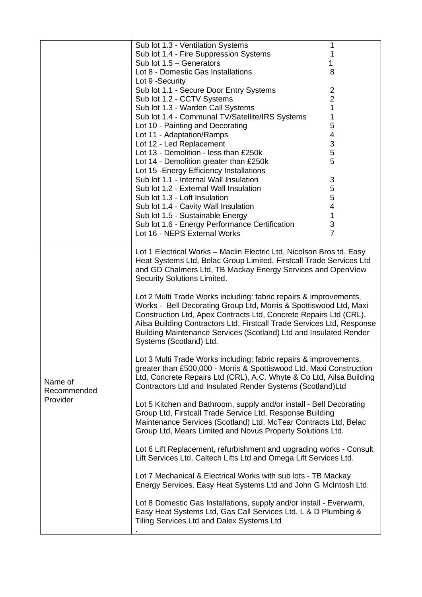|                                    | Sub lot 1.3 - Ventilation Systems                                                                                                                                                                                                                                                                                                                                                                                                                                                                                                                                                                                                                                                                                                                                                                                                                                                                                                                                                                                                                                                                                                                                                                                                                                                                                                                                                                  | 1                         |  |
|------------------------------------|----------------------------------------------------------------------------------------------------------------------------------------------------------------------------------------------------------------------------------------------------------------------------------------------------------------------------------------------------------------------------------------------------------------------------------------------------------------------------------------------------------------------------------------------------------------------------------------------------------------------------------------------------------------------------------------------------------------------------------------------------------------------------------------------------------------------------------------------------------------------------------------------------------------------------------------------------------------------------------------------------------------------------------------------------------------------------------------------------------------------------------------------------------------------------------------------------------------------------------------------------------------------------------------------------------------------------------------------------------------------------------------------------|---------------------------|--|
|                                    | Sub lot 1.4 - Fire Suppression Systems                                                                                                                                                                                                                                                                                                                                                                                                                                                                                                                                                                                                                                                                                                                                                                                                                                                                                                                                                                                                                                                                                                                                                                                                                                                                                                                                                             | 1                         |  |
|                                    | Sub lot $1.5 -$ Generators                                                                                                                                                                                                                                                                                                                                                                                                                                                                                                                                                                                                                                                                                                                                                                                                                                                                                                                                                                                                                                                                                                                                                                                                                                                                                                                                                                         | 1                         |  |
|                                    | Lot 8 - Domestic Gas Installations                                                                                                                                                                                                                                                                                                                                                                                                                                                                                                                                                                                                                                                                                                                                                                                                                                                                                                                                                                                                                                                                                                                                                                                                                                                                                                                                                                 | 8                         |  |
|                                    | Lot 9 - Security                                                                                                                                                                                                                                                                                                                                                                                                                                                                                                                                                                                                                                                                                                                                                                                                                                                                                                                                                                                                                                                                                                                                                                                                                                                                                                                                                                                   |                           |  |
|                                    | Sub lot 1.1 - Secure Door Entry Systems                                                                                                                                                                                                                                                                                                                                                                                                                                                                                                                                                                                                                                                                                                                                                                                                                                                                                                                                                                                                                                                                                                                                                                                                                                                                                                                                                            | 2                         |  |
|                                    |                                                                                                                                                                                                                                                                                                                                                                                                                                                                                                                                                                                                                                                                                                                                                                                                                                                                                                                                                                                                                                                                                                                                                                                                                                                                                                                                                                                                    | $\overline{2}$            |  |
|                                    | Sub lot 1.2 - CCTV Systems                                                                                                                                                                                                                                                                                                                                                                                                                                                                                                                                                                                                                                                                                                                                                                                                                                                                                                                                                                                                                                                                                                                                                                                                                                                                                                                                                                         |                           |  |
|                                    | Sub lot 1.3 - Warden Call Systems                                                                                                                                                                                                                                                                                                                                                                                                                                                                                                                                                                                                                                                                                                                                                                                                                                                                                                                                                                                                                                                                                                                                                                                                                                                                                                                                                                  | $\mathbf 1$               |  |
|                                    | Sub lot 1.4 - Communal TV/Satellite/IRS Systems                                                                                                                                                                                                                                                                                                                                                                                                                                                                                                                                                                                                                                                                                                                                                                                                                                                                                                                                                                                                                                                                                                                                                                                                                                                                                                                                                    | 1                         |  |
|                                    | Lot 10 - Painting and Decorating                                                                                                                                                                                                                                                                                                                                                                                                                                                                                                                                                                                                                                                                                                                                                                                                                                                                                                                                                                                                                                                                                                                                                                                                                                                                                                                                                                   | 5                         |  |
|                                    | Lot 11 - Adaptation/Ramps                                                                                                                                                                                                                                                                                                                                                                                                                                                                                                                                                                                                                                                                                                                                                                                                                                                                                                                                                                                                                                                                                                                                                                                                                                                                                                                                                                          | 4                         |  |
|                                    | Lot 12 - Led Replacement                                                                                                                                                                                                                                                                                                                                                                                                                                                                                                                                                                                                                                                                                                                                                                                                                                                                                                                                                                                                                                                                                                                                                                                                                                                                                                                                                                           | 3                         |  |
|                                    | Lot 13 - Demolition - less than £250k                                                                                                                                                                                                                                                                                                                                                                                                                                                                                                                                                                                                                                                                                                                                                                                                                                                                                                                                                                                                                                                                                                                                                                                                                                                                                                                                                              | 5                         |  |
|                                    | Lot 14 - Demolition greater than £250k                                                                                                                                                                                                                                                                                                                                                                                                                                                                                                                                                                                                                                                                                                                                                                                                                                                                                                                                                                                                                                                                                                                                                                                                                                                                                                                                                             | 5                         |  |
|                                    | Lot 15 - Energy Efficiency Installations                                                                                                                                                                                                                                                                                                                                                                                                                                                                                                                                                                                                                                                                                                                                                                                                                                                                                                                                                                                                                                                                                                                                                                                                                                                                                                                                                           |                           |  |
|                                    | Sub lot 1.1 - Internal Wall Insulation                                                                                                                                                                                                                                                                                                                                                                                                                                                                                                                                                                                                                                                                                                                                                                                                                                                                                                                                                                                                                                                                                                                                                                                                                                                                                                                                                             |                           |  |
|                                    |                                                                                                                                                                                                                                                                                                                                                                                                                                                                                                                                                                                                                                                                                                                                                                                                                                                                                                                                                                                                                                                                                                                                                                                                                                                                                                                                                                                                    | $\ensuremath{\mathsf{3}}$ |  |
|                                    | Sub lot 1.2 - External Wall Insulation                                                                                                                                                                                                                                                                                                                                                                                                                                                                                                                                                                                                                                                                                                                                                                                                                                                                                                                                                                                                                                                                                                                                                                                                                                                                                                                                                             | $\frac{5}{5}$             |  |
|                                    | Sub lot 1.3 - Loft Insulation                                                                                                                                                                                                                                                                                                                                                                                                                                                                                                                                                                                                                                                                                                                                                                                                                                                                                                                                                                                                                                                                                                                                                                                                                                                                                                                                                                      |                           |  |
|                                    | Sub lot 1.4 - Cavity Wall Insulation                                                                                                                                                                                                                                                                                                                                                                                                                                                                                                                                                                                                                                                                                                                                                                                                                                                                                                                                                                                                                                                                                                                                                                                                                                                                                                                                                               | 4                         |  |
|                                    | Sub lot 1.5 - Sustainable Energy                                                                                                                                                                                                                                                                                                                                                                                                                                                                                                                                                                                                                                                                                                                                                                                                                                                                                                                                                                                                                                                                                                                                                                                                                                                                                                                                                                   | 1                         |  |
|                                    | Sub lot 1.6 - Energy Performance Certification                                                                                                                                                                                                                                                                                                                                                                                                                                                                                                                                                                                                                                                                                                                                                                                                                                                                                                                                                                                                                                                                                                                                                                                                                                                                                                                                                     | $\ensuremath{\mathsf{3}}$ |  |
|                                    | Lot 16 - NEPS External Works                                                                                                                                                                                                                                                                                                                                                                                                                                                                                                                                                                                                                                                                                                                                                                                                                                                                                                                                                                                                                                                                                                                                                                                                                                                                                                                                                                       | $\overline{7}$            |  |
|                                    |                                                                                                                                                                                                                                                                                                                                                                                                                                                                                                                                                                                                                                                                                                                                                                                                                                                                                                                                                                                                                                                                                                                                                                                                                                                                                                                                                                                                    |                           |  |
| Name of<br>Recommended<br>Provider | Heat Systems Ltd, Belac Group Limited, Firstcall Trade Services Ltd<br>and GD Chalmers Ltd, TB Mackay Energy Services and OpenView<br>Security Solutions Limited.<br>Lot 2 Multi Trade Works including: fabric repairs & improvements,<br>Works - Bell Decorating Group Ltd, Morris & Spottiswood Ltd, Maxi<br>Construction Ltd, Apex Contracts Ltd, Concrete Repairs Ltd (CRL),<br>Ailsa Building Contractors Ltd, Firstcall Trade Services Ltd, Response<br>Building Maintenance Services (Scotland) Ltd and Insulated Render<br>Systems (Scotland) Ltd.<br>Lot 3 Multi Trade Works including: fabric repairs & improvements,<br>greater than £500,000 - Morris & Spottiswood Ltd, Maxi Construction<br>Ltd, Concrete Repairs Ltd (CRL), A.C. Whyte & Co Ltd, Ailsa Building<br>Contractors Ltd and Insulated Render Systems (Scotland)Ltd<br>Lot 5 Kitchen and Bathroom, supply and/or install - Bell Decorating<br>Group Ltd, Firstcall Trade Service Ltd, Response Building<br>Maintenance Services (Scotland) Ltd, McTear Contracts Ltd, Belac<br>Group Ltd, Mears Limited and Novus Property Solutions Ltd.<br>Lot 6 Lift Replacement, refurbishment and upgrading works - Consult<br>Lift Services Ltd, Caltech Lifts Ltd and Omega Lift Services Ltd.<br>Lot 7 Mechanical & Electrical Works with sub lots - TB Mackay<br>Energy Services, Easy Heat Systems Ltd and John G McIntosh Ltd. |                           |  |
|                                    | Lot 8 Domestic Gas Installations, supply and/or install - Everwarm,<br>Easy Heat Systems Ltd, Gas Call Services Ltd, L & D Plumbing &<br>Tiling Services Ltd and Dalex Systems Ltd                                                                                                                                                                                                                                                                                                                                                                                                                                                                                                                                                                                                                                                                                                                                                                                                                                                                                                                                                                                                                                                                                                                                                                                                                 |                           |  |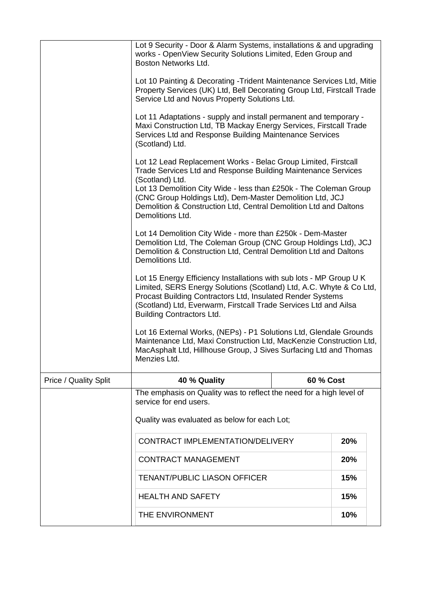|                              | Lot 9 Security - Door & Alarm Systems, installations & and upgrading<br>works - OpenView Security Solutions Limited, Eden Group and<br>Boston Networks Ltd.                                                                                                                                                                                                                  |           |     |  |
|------------------------------|------------------------------------------------------------------------------------------------------------------------------------------------------------------------------------------------------------------------------------------------------------------------------------------------------------------------------------------------------------------------------|-----------|-----|--|
|                              | Lot 10 Painting & Decorating - Trident Maintenance Services Ltd, Mitie<br>Property Services (UK) Ltd, Bell Decorating Group Ltd, Firstcall Trade<br>Service Ltd and Novus Property Solutions Ltd.                                                                                                                                                                            |           |     |  |
|                              | Lot 11 Adaptations - supply and install permanent and temporary -<br>Maxi Construction Ltd, TB Mackay Energy Services, Firstcall Trade<br>Services Ltd and Response Building Maintenance Services<br>(Scotland) Ltd.                                                                                                                                                         |           |     |  |
|                              | Lot 12 Lead Replacement Works - Belac Group Limited, Firstcall<br>Trade Services Ltd and Response Building Maintenance Services<br>(Scotland) Ltd.<br>Lot 13 Demolition City Wide - less than £250k - The Coleman Group<br>(CNC Group Holdings Ltd), Dem-Master Demolition Ltd, JCJ<br>Demolition & Construction Ltd, Central Demolition Ltd and Daltons<br>Demolitions Ltd. |           |     |  |
|                              | Lot 14 Demolition City Wide - more than £250k - Dem-Master<br>Demolition Ltd, The Coleman Group (CNC Group Holdings Ltd), JCJ<br>Demolition & Construction Ltd, Central Demolition Ltd and Daltons<br>Demolitions Ltd.                                                                                                                                                       |           |     |  |
|                              | Lot 15 Energy Efficiency Installations with sub lots - MP Group U K<br>Limited, SERS Energy Solutions (Scotland) Ltd, A.C. Whyte & Co Ltd,<br>Procast Building Contractors Ltd, Insulated Render Systems<br>(Scotland) Ltd, Everwarm, Firstcall Trade Services Ltd and Ailsa<br><b>Building Contractors Ltd.</b>                                                             |           |     |  |
|                              | Lot 16 External Works, (NEPs) - P1 Solutions Ltd, Glendale Grounds<br>Maintenance Ltd, Maxi Construction Ltd, MacKenzie Construction Ltd,<br>MacAsphalt Ltd, Hillhouse Group, J Sives Surfacing Ltd and Thomas<br>Menzies Ltd.                                                                                                                                               |           |     |  |
| <b>Price / Quality Split</b> | 40 % Quality                                                                                                                                                                                                                                                                                                                                                                 | 60 % Cost |     |  |
|                              | The emphasis on Quality was to reflect the need for a high level of<br>service for end users.<br>Quality was evaluated as below for each Lot;                                                                                                                                                                                                                                |           |     |  |
|                              | CONTRACT IMPLEMENTATION/DELIVERY<br>20%                                                                                                                                                                                                                                                                                                                                      |           |     |  |
|                              | <b>CONTRACT MANAGEMENT</b>                                                                                                                                                                                                                                                                                                                                                   |           | 20% |  |
|                              | <b>TENANT/PUBLIC LIASON OFFICER</b>                                                                                                                                                                                                                                                                                                                                          |           | 15% |  |
| <b>HEALTH AND SAFETY</b>     |                                                                                                                                                                                                                                                                                                                                                                              |           | 15% |  |
|                              | THE ENVIRONMENT<br>10%                                                                                                                                                                                                                                                                                                                                                       |           |     |  |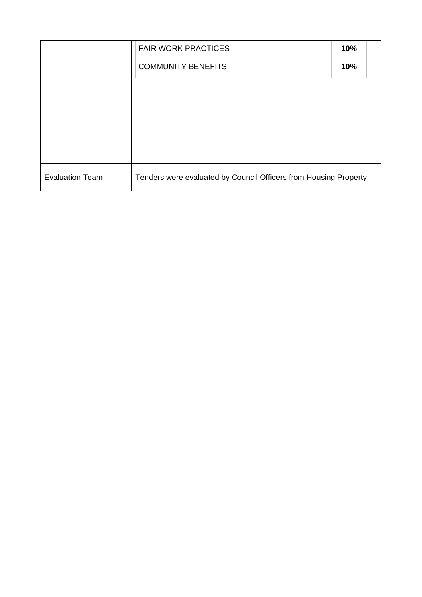|                        | <b>FAIR WORK PRACTICES</b>                                       | 10% |
|------------------------|------------------------------------------------------------------|-----|
|                        | <b>COMMUNITY BENEFITS</b>                                        | 10% |
|                        |                                                                  |     |
|                        |                                                                  |     |
|                        |                                                                  |     |
|                        |                                                                  |     |
|                        |                                                                  |     |
| <b>Evaluation Team</b> | Tenders were evaluated by Council Officers from Housing Property |     |